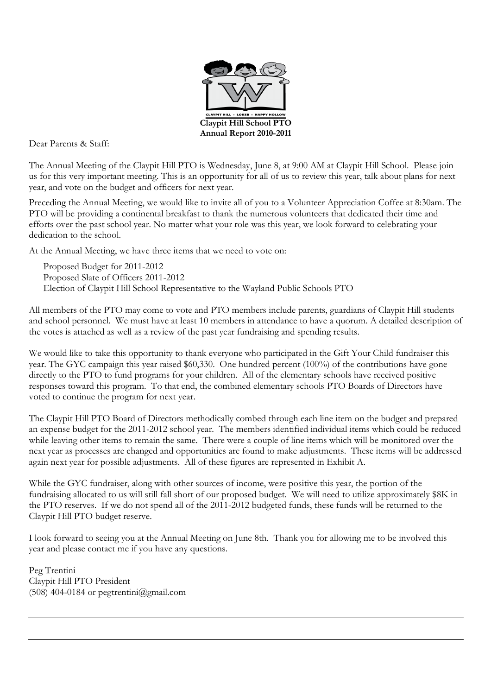

Dear Parents & Staff:

The Annual Meeting of the Claypit Hill PTO is Wednesday, June 8, at 9:00 AM at Claypit Hill School. Please join us for this very important meeting. This is an opportunity for all of us to review this year, talk about plans for next year, and vote on the budget and officers for next year.

Preceding the Annual Meeting, we would like to invite all of you to a Volunteer Appreciation Coffee at 8:30am. The PTO will be providing a continental breakfast to thank the numerous volunteers that dedicated their time and efforts over the past school year. No matter what your role was this year, we look forward to celebrating your dedication to the school.

At the Annual Meeting, we have three items that we need to vote on:

Proposed Budget for 2011-2012 Proposed Slate of Officers 2011-2012 Election of Claypit Hill School Representative to the Wayland Public Schools PTO

All members of the PTO may come to vote and PTO members include parents, guardians of Claypit Hill students and school personnel. We must have at least 10 members in attendance to have a quorum. A detailed description of the votes is attached as well as a review of the past year fundraising and spending results.

We would like to take this opportunity to thank everyone who participated in the Gift Your Child fundraiser this year. The GYC campaign this year raised \$60,330. One hundred percent (100%) of the contributions have gone directly to the PTO to fund programs for your children. All of the elementary schools have received positive responses toward this program. To that end, the combined elementary schools PTO Boards of Directors have voted to continue the program for next year.

The Claypit Hill PTO Board of Directors methodically combed through each line item on the budget and prepared an expense budget for the 2011-2012 school year. The members identified individual items which could be reduced while leaving other items to remain the same. There were a couple of line items which will be monitored over the next year as processes are changed and opportunities are found to make adjustments. These items will be addressed again next year for possible adjustments. All of these figures are represented in Exhibit A.

While the GYC fundraiser, along with other sources of income, were positive this year, the portion of the fundraising allocated to us will still fall short of our proposed budget. We will need to utilize approximately \$8K in the PTO reserves. If we do not spend all of the 2011-2012 budgeted funds, these funds will be returned to the Claypit Hill PTO budget reserve.

I look forward to seeing you at the Annual Meeting on June 8th. Thank you for allowing me to be involved this year and please contact me if you have any questions.

Peg Trentini Claypit Hill PTO President  $(508)$  404-0184 or pegtrentini@gmail.com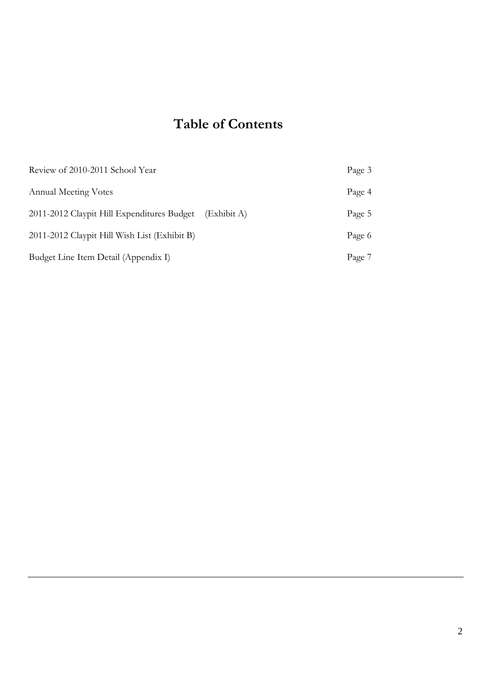# Table of Contents

| Review of 2010-2011 School Year              |             | Page 3 |
|----------------------------------------------|-------------|--------|
| <b>Annual Meeting Votes</b>                  |             | Page 4 |
| 2011-2012 Claypit Hill Expenditures Budget   | (Exhibit A) | Page 5 |
| 2011-2012 Claypit Hill Wish List (Exhibit B) |             | Page 6 |
| Budget Line Item Detail (Appendix I)         |             | Page 7 |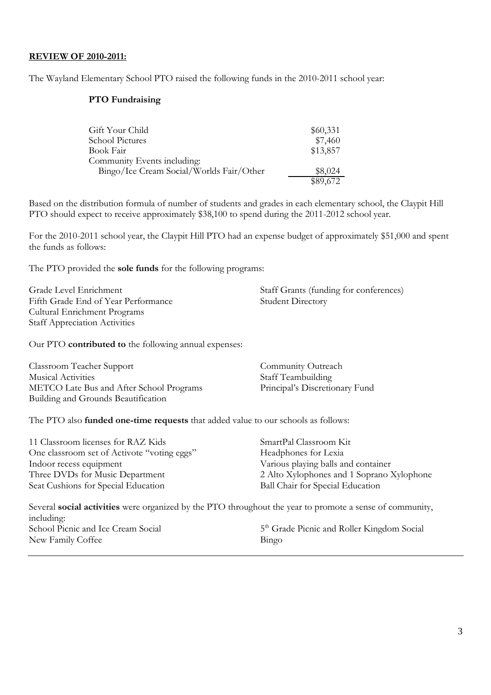#### REVIEW OF 2010-2011:

The Wayland Elementary School PTO raised the following funds in the 2010-2011 school year:

#### PTO Fundraising

| Gift Your Child                          | \$60,331 |
|------------------------------------------|----------|
| School Pictures                          | \$7,460  |
| Book Fair                                | \$13,857 |
| Community Events including:              |          |
| Bingo/Ice Cream Social/Worlds Fair/Other | \$8,024  |
|                                          | \$89,672 |

Based on the distribution formula of number of students and grades in each elementary school, the Claypit Hill PTO should expect to receive approximately \$38,100 to spend during the 2011-2012 school year.

For the 2010-2011 school year, the Claypit Hill PTO had an expense budget of approximately \$51,000 and spent the funds as follows:

The PTO provided the sole funds for the following programs:

Fifth Grade End of Year Performance Student Directory Cultural Enrichment Programs Staff Appreciation Activities

Grade Level Enrichment Staff Grants (funding for conferences)

Our PTO contributed to the following annual expenses:

| <b>Classroom Teacher Support</b>         | Community Outreach             |
|------------------------------------------|--------------------------------|
| <b>Musical Activities</b>                | Staff Teambuilding             |
| METCO Late Bus and After School Programs | Principal's Discretionary Fund |
| Building and Grounds Beautification      |                                |

The PTO also funded one-time requests that added value to our schools as follows:

| 11 Classroom licenses for RAZ Kids          | SmartPal Classroom Kit                    |
|---------------------------------------------|-------------------------------------------|
| One classroom set of Activote "voting eggs" | Headphones for Lexia                      |
| Indoor recess equipment                     | Various playing balls and container       |
| Three DVDs for Music Department             | 2 Alto Xylophones and 1 Soprano Xylophone |
| Seat Cushions for Special Education         | Ball Chair for Special Education          |
|                                             |                                           |

Several social activities were organized by the PTO throughout the year to promote a sense of community, including: School Picnic and Ice Cream Social 5<sup>th</sup> Grade Picnic and Roller Kingdom Social New Family Coffee Bingo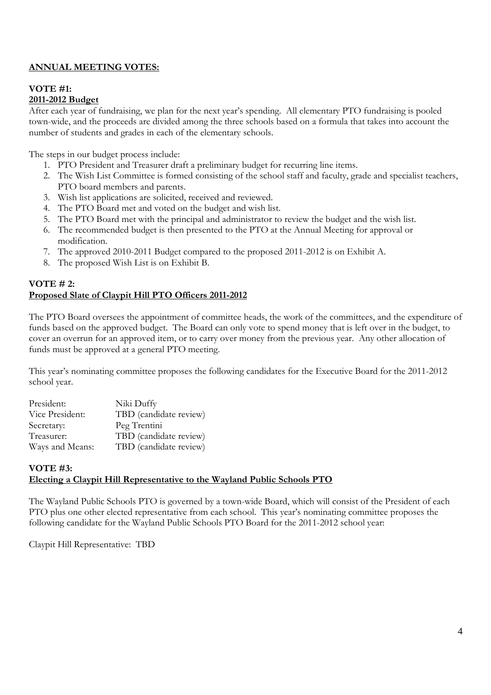# ANNUAL MEETING VOTES:

#### VOTE #1: 2011-2012 Budget

After each year of fundraising, we plan for the next year's spending. All elementary PTO fundraising is pooled town-wide, and the proceeds are divided among the three schools based on a formula that takes into account the number of students and grades in each of the elementary schools.

The steps in our budget process include:

- 1. PTO President and Treasurer draft a preliminary budget for recurring line items.
- 2. The Wish List Committee is formed consisting of the school staff and faculty, grade and specialist teachers, PTO board members and parents.
- 3. Wish list applications are solicited, received and reviewed.
- 4. The PTO Board met and voted on the budget and wish list.
- 5. The PTO Board met with the principal and administrator to review the budget and the wish list.
- 6. The recommended budget is then presented to the PTO at the Annual Meeting for approval or modification.
- 7. The approved 2010-2011 Budget compared to the proposed 2011-2012 is on Exhibit A.
- 8. The proposed Wish List is on Exhibit B.

#### VOTE # 2: Proposed Slate of Claypit Hill PTO Officers 2011-2012

The PTO Board oversees the appointment of committee heads, the work of the committees, and the expenditure of funds based on the approved budget. The Board can only vote to spend money that is left over in the budget, to cover an overrun for an approved item, or to carry over money from the previous year. Any other allocation of funds must be approved at a general PTO meeting.

This year's nominating committee proposes the following candidates for the Executive Board for the 2011-2012 school year.

| President:      | Niki Duffy             |
|-----------------|------------------------|
| Vice President: | TBD (candidate review) |
| Secretary:      | Peg Trentini           |
| Treasurer:      | TBD (candidate review) |
| Ways and Means: | TBD (candidate review) |

# VOTE #3: Electing a Claypit Hill Representative to the Wayland Public Schools PTO

The Wayland Public Schools PTO is governed by a town-wide Board, which will consist of the President of each PTO plus one other elected representative from each school. This year's nominating committee proposes the following candidate for the Wayland Public Schools PTO Board for the 2011-2012 school year:

Claypit Hill Representative: TBD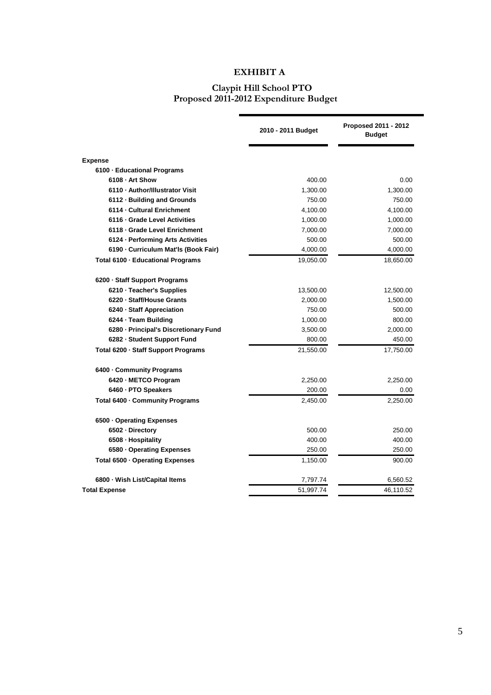# EXHIBIT A

#### Claypit Hill School PTO Proposed 2011-2012 Expenditure Budget

|                                       | 2010 - 2011 Budget | Proposed 2011 - 2012<br><b>Budget</b> |
|---------------------------------------|--------------------|---------------------------------------|
| <b>Expense</b>                        |                    |                                       |
| 6100 - Educational Programs           |                    |                                       |
| 6108 - Art Show                       | 400.00             | 0.00                                  |
| 6110 - Author/Illustrator Visit       | 1,300.00           | 1,300.00                              |
| 6112 - Building and Grounds           | 750.00             | 750.00                                |
| 6114 - Cultural Enrichment            | 4,100.00           | 4,100.00                              |
| 6116 - Grade Level Activities         | 1,000.00           | 1,000.00                              |
| 6118 - Grade Level Enrichment         | 7,000.00           | 7,000.00                              |
| 6124 - Performing Arts Activities     | 500.00             | 500.00                                |
| 6190 - Curriculum Mat'ls (Book Fair)  | 4,000.00           | 4,000.00                              |
| Total 6100 - Educational Programs     | 19,050.00          | 18,650.00                             |
| 6200 - Staff Support Programs         |                    |                                       |
| 6210 - Teacher's Supplies             | 13,500.00          | 12,500.00                             |
| 6220 - Staff/House Grants             | 2,000.00           | 1,500.00                              |
| 6240 - Staff Appreciation             | 750.00             | 500.00                                |
| 6244 · Team Building                  | 1,000.00           | 800.00                                |
| 6280 - Principal's Discretionary Fund | 3,500.00           | 2,000.00                              |
| 6282 - Student Support Fund           | 800.00             | 450.00                                |
| Total 6200 - Staff Support Programs   | 21,550.00          | 17,750.00                             |
| 6400 - Community Programs             |                    |                                       |
| 6420 - METCO Program                  | 2,250.00           | 2,250.00                              |
| 6460 · PTO Speakers                   | 200.00             | 0.00                                  |
| Total 6400 - Community Programs       | 2,450.00           | 2,250.00                              |
| 6500 - Operating Expenses             |                    |                                       |
| 6502 Directory                        | 500.00             | 250.00                                |
| 6508 - Hospitality                    | 400.00             | 400.00                                |
| 6580 - Operating Expenses             | 250.00             | 250.00                                |
| Total 6500 · Operating Expenses       | 1,150.00           | 900.00                                |
| 6800 - Wish List/Capital Items        | 7,797.74           | 6,560.52                              |
| <b>Total Expense</b>                  | 51,997.74          | 46,110.52                             |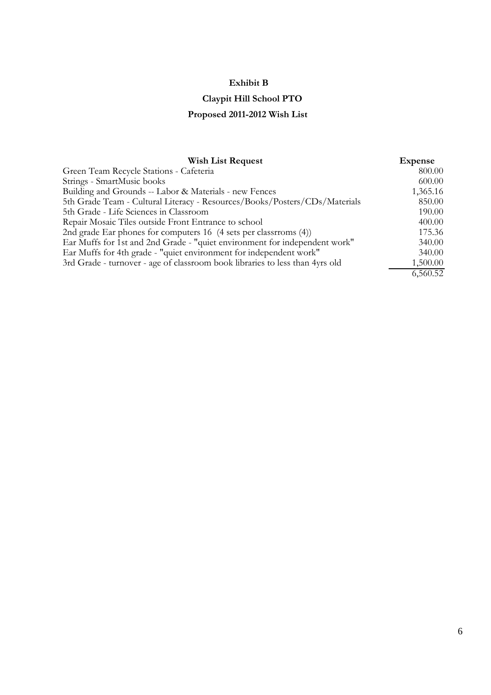# Exhibit B

# Claypit Hill School PTO

# Proposed 2011-2012 Wish List

| <b>Wish List Request</b>                                                     | <b>Expense</b> |
|------------------------------------------------------------------------------|----------------|
| Green Team Recycle Stations - Cafeteria                                      | 800.00         |
| Strings - SmartMusic books                                                   | 600.00         |
| Building and Grounds -- Labor & Materials - new Fences                       | 1,365.16       |
| 5th Grade Team - Cultural Literacy - Resources/Books/Posters/CDs/Materials   | 850.00         |
| 5th Grade - Life Sciences in Classroom                                       | 190.00         |
| Repair Mosaic Tiles outside Front Entrance to school                         | 400.00         |
| 2nd grade Ear phones for computers 16 (4 sets per classrroms (4))            | 175.36         |
| Ear Muffs for 1st and 2nd Grade - "quiet environment for independent work"   | 340.00         |
| Ear Muffs for 4th grade - "quiet environment for independent work"           | 340.00         |
| 3rd Grade - turnover - age of classroom book libraries to less than 4yrs old | 1,500.00       |
|                                                                              | 6,560.52       |